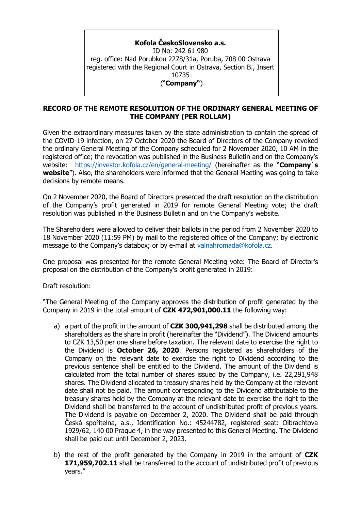# **Kofola ČeskoSlovensko a.s.**

ID No: 242 61 980 reg. office: Nad Porubkou 2278/31a, Poruba, 708 00 Ostrava registered with the Regional Court in Ostrava, Section B., Insert 10735 ("**Company"**)

### **RECORD OF THE REMOTE RESOLUTION OF THE ORDINARY GENERAL MEETING OF THE COMPANY (PER ROLLAM)**

Given the extraordinary measures taken by the state administration to contain the spread of the COVID-19 infection, on 27 October 2020 the Board of Directors of the Company revoked the ordinary General Meeting of the Company scheduled for 2 November 2020, 10 AM in the registered office; the revocation was published in the Business Bulletin and on the Company's website: <https://investor.kofola.cz/en/general-meeting/> (hereinafter as the "**Company´s website**"). Also, the shareholders were informed that the General Meeting was going to take decisions by remote means.

On 2 November 2020, the Board of Directors presented the draft resolution on the distribution of the Company's profit generated in 2019 for remote General Meeting vote; the draft resolution was published in the Business Bulletin and on the Company's website.

The Shareholders were allowed to deliver their ballots in the period from 2 November 2020 to 18 November 2020 (11:59 PM) by mail to the registered office of the Company; by electronic message to the Company's databox; or by e-mail at [valnahromada@kofola.cz.](file:///C:/Users/KateřinaŠrámková/AppData/Local/Microsoft/Windows/INetCache/Content.Outlook/Q0O48JPT/valnahromada@kofola.cz)

One proposal was presented for the remote General Meeting vote: The Board of Director's proposal on the distribution of the Company's profit generated in 2019:

### Draft resolution:

"The General Meeting of the Company approves the distribution of profit generated by the Company in 2019 in the total amount of **CZK 472,901,000.11** the following way:

- a) a part of the profit in the amount of **CZK 300,941,298** shall be distributed among the shareholders as the share in profit (hereinafter the "Dividend"). The Dividend amounts to CZK 13,50 per one share before taxation. The relevant date to exercise the right to the Dividend is **October 26, 2020**. Persons registered as shareholders of the Company on the relevant date to exercise the right to Dividend according to the previous sentence shall be entitled to the Dividend. The amount of the Dividend is calculated from the total number of shares issued by the Company, i.e. 22,291,948 shares. The Dividend allocated to treasury shares held by the Company at the relevant date shall not be paid. The amount corresponding to the Dividend attributable to the treasury shares held by the Company at the relevant date to exercise the right to the Dividend shall be transferred to the account of undistributed profit of previous years. The Dividend is payable on December 2, 2020. The Dividend shall be paid through Česká spořitelna, a.s., Identification No.: 45244782, registered seat: Olbrachtova 1929/62, 140 00 Prague 4, in the way presented to this General Meeting. The Dividend shall be paid out until December 2, 2023.
- b) the rest of the profit generated by the Company in 2019 in the amount of **CZK 171,959,702.11** shall be transferred to the account of undistributed profit of previous years."